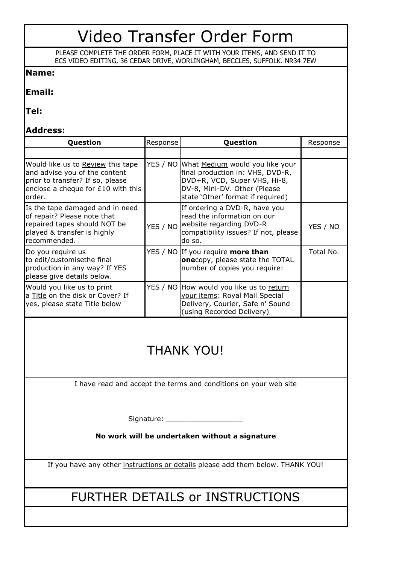# Video Transfer Order Form

PLEASE COMPLETE THE ORDER FORM, PLACE IT WITH YOUR ITEMS, AND SEND IT TO ECS VIDEO EDITING, 36 CEDAR DRIVE, WORLINGHAM, BECCLES, SUFFOLK. NR34 7EW

### **Name:**

#### **Email:**

**Tel:**

### **Address:**

| Question                                                                                                                                                | Response | Question                                                                                                                                                                          | Response  |
|---------------------------------------------------------------------------------------------------------------------------------------------------------|----------|-----------------------------------------------------------------------------------------------------------------------------------------------------------------------------------|-----------|
|                                                                                                                                                         |          |                                                                                                                                                                                   |           |
| Would like us to Review this tape<br>and advise you of the content<br>prior to transfer? If so, please<br>enclose a cheque for £10 with this<br>lorder. |          | YES / NO What Medium would you like your<br>final production in: VHS, DVD-R,<br>DVD+R, VCD, Super VHS, Hi-8,<br>DV-8, Mini-DV. Other (Please<br>state 'Other' format if required) |           |
| Is the tape damaged and in need<br>of repair? Please note that<br>repaired tapes should NOT be<br>played & transfer is highly<br>recommended.           | YES / NO | If ordering a DVD-R, have you<br>read the information on our<br>website regarding DVD-R<br>compatibility issues? If not, please<br>do so.                                         | YES / NO  |
| Do you require us<br>to edit/customisethe final<br>production in any way? If YES<br>please give details below.                                          |          | YES / NO If you require more than<br><b>one</b> copy, please state the TOTAL<br>number of copies you require:                                                                     | Total No. |
| Would you like us to print<br>a Title on the disk or Cover? If<br>yes, please state Title below                                                         |          | YES / NO How would you like us to return<br>your items: Royal Mail Special<br>Delivery, Courier, Safe n' Sound<br>(using Recorded Delivery)                                       |           |

# THANK YOU!

I have read and accept the terms and conditions on your web site

Signature: \_\_\_\_\_\_\_\_\_\_\_\_\_\_\_\_\_\_

**No work will be undertaken without a signature**

If you have any other instructions or details please add them below. THANK YOU!

## FURTHER DETAILS or INSTRUCTIONS